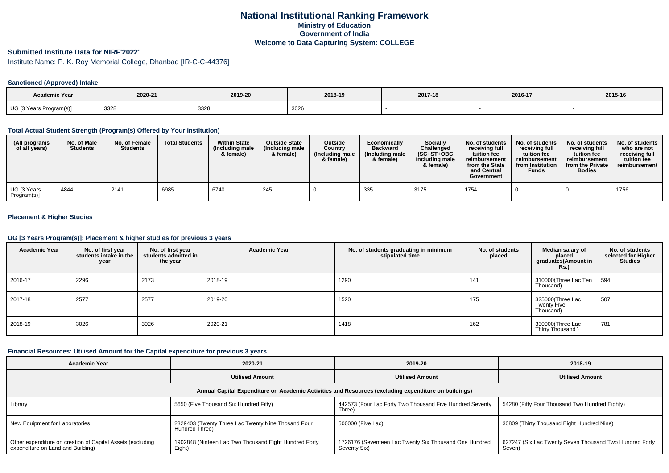## **National Institutional Ranking FrameworkMinistry of Education Government of IndiaWelcome to Data Capturing System: COLLEGE**

# **Submitted Institute Data for NIRF'2022'**

# Institute Name: P. K. Roy Memorial College, Dhanbad [IR-C-C-44376]

### **Sanctioned (Approved) Intake**

| <b>Academic Year</b>    | 2020-21 | 2019-20 | 2018-19 | 2017-18 | 2016-17 | 2015-16 |
|-------------------------|---------|---------|---------|---------|---------|---------|
| UG [3 Years Program(s)] | 3328    | 3328    | 3026    |         |         |         |

#### **Total Actual Student Strength (Program(s) Offered by Your Institution)**

| (All programs<br>of all years) | No. of Male<br><b>Students</b> | No. of Female<br><b>Students</b> | <b>Total Students</b> | <b>Within State</b><br>(Including male<br>& female) | <b>Outside State</b><br>(Including male<br>& female) | <b>Outside</b><br>Country<br>(Including male<br>& female) | Economically<br><b>Backward</b><br>(Including male)<br>& female) | <b>Socially</b><br>Challenged<br>$(SC+ST+OBC)$<br>Including male<br>& female) | No. of students<br>receiving full<br>tuition fee<br>reimbursement<br>from the State<br>and Central<br>Government | No. of students<br>receiving full<br>tuition fee<br>reimbursement<br>from Institution<br>Funds | No. of students<br>receiving full<br>tuition fee<br>reimbursement<br>from the Private<br><b>Bodies</b> | No. of students<br>who are not<br>receiving full<br>tuition fee<br>reimbursement |
|--------------------------------|--------------------------------|----------------------------------|-----------------------|-----------------------------------------------------|------------------------------------------------------|-----------------------------------------------------------|------------------------------------------------------------------|-------------------------------------------------------------------------------|------------------------------------------------------------------------------------------------------------------|------------------------------------------------------------------------------------------------|--------------------------------------------------------------------------------------------------------|----------------------------------------------------------------------------------|
| UG [3 Years<br>Program(s)]     | 4844                           | 2141                             | 6985                  | 6740                                                | 245                                                  |                                                           | 335                                                              | 3175                                                                          | 1754                                                                                                             |                                                                                                |                                                                                                        | 1756                                                                             |

### **Placement & Higher Studies**

#### **UG [3 Years Program(s)]: Placement & higher studies for previous 3 years**

| <b>Academic Year</b> | No. of first year<br>students intake in the<br>year | No. of first year<br>students admitted in<br>the year | <b>Academic Year</b> | No. of students graduating in minimum<br>stipulated time | No. of students<br>placed | Median salary of<br>placed<br>graduates(Amount in<br>Rs. | No. of students<br>selected for Higher<br><b>Studies</b> |
|----------------------|-----------------------------------------------------|-------------------------------------------------------|----------------------|----------------------------------------------------------|---------------------------|----------------------------------------------------------|----------------------------------------------------------|
| 2016-17              | 2296                                                | 2173                                                  | 2018-19              | 1290                                                     | 141                       | 310000(Three Lac Ten<br>Thousand)                        | 594                                                      |
| 2017-18              | 2577                                                | 2577                                                  | 2019-20              | 1520                                                     | 175                       | 325000(Three Lac<br><b>Twenty Five</b><br>Thousand)      | 507                                                      |
| 2018-19              | 3026                                                | 3026                                                  | 2020-21              | 1418                                                     | 162                       | 330000(Three Lac<br>Thirty Thousand)                     | 781                                                      |

#### **Financial Resources: Utilised Amount for the Capital expenditure for previous 3 years**

| <b>Academic Year</b>                                                                                 | 2020-21                                                              | 2019-20                                                                | 2018-19                                                           |  |  |  |  |  |  |
|------------------------------------------------------------------------------------------------------|----------------------------------------------------------------------|------------------------------------------------------------------------|-------------------------------------------------------------------|--|--|--|--|--|--|
|                                                                                                      | <b>Utilised Amount</b>                                               |                                                                        | <b>Utilised Amount</b>                                            |  |  |  |  |  |  |
| Annual Capital Expenditure on Academic Activities and Resources (excluding expenditure on buildings) |                                                                      |                                                                        |                                                                   |  |  |  |  |  |  |
| Library                                                                                              | 5650 (Five Thousand Six Hundred Fifty)                               | 442573 (Four Lac Forty Two Thousand Five Hundred Seventy<br>Three)     | 54280 (Fifty Four Thousand Two Hundred Eighty)                    |  |  |  |  |  |  |
| New Equipment for Laboratories                                                                       | 2329403 (Twenty Three Lac Twenty Nine Thosand Four<br>Hundred Three) | 500000 (Five Lac)                                                      | 30809 (Thirty Thousand Eight Hundred Nine)                        |  |  |  |  |  |  |
| Other expenditure on creation of Capital Assets (excluding<br>expenditure on Land and Building)      | 1902848 (Ninteen Lac Two Thousand Eight Hundred Forty<br>Eight)      | 1726176 (Seventeen Lac Twenty Six Thousand One Hundred<br>Seventy Six) | 627247 (Six Lac Twenty Seven Thousand Two Hundred Forty<br>Seven) |  |  |  |  |  |  |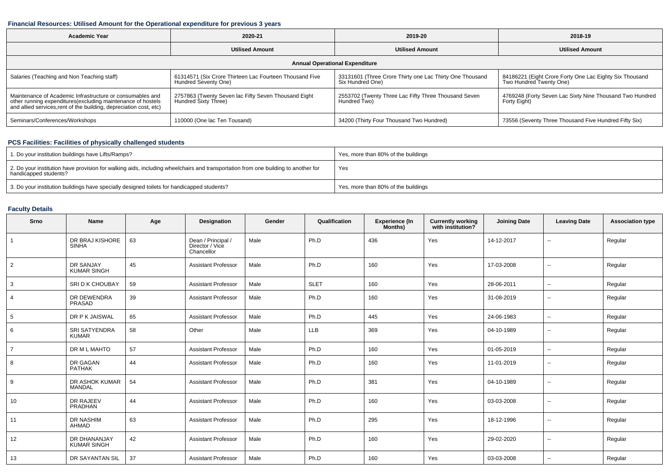### **Financial Resources: Utilised Amount for the Operational expenditure for previous 3 years**

| <b>Academic Year</b>                                                                                                                                                                           | 2020-21                                                                         |                                                                              | 2018-19                                                                            |  |  |  |  |  |  |
|------------------------------------------------------------------------------------------------------------------------------------------------------------------------------------------------|---------------------------------------------------------------------------------|------------------------------------------------------------------------------|------------------------------------------------------------------------------------|--|--|--|--|--|--|
|                                                                                                                                                                                                | <b>Utilised Amount</b>                                                          | <b>Utilised Amount</b>                                                       | <b>Utilised Amount</b>                                                             |  |  |  |  |  |  |
| <b>Annual Operational Expenditure</b>                                                                                                                                                          |                                                                                 |                                                                              |                                                                                    |  |  |  |  |  |  |
| Salaries (Teaching and Non Teaching staff)                                                                                                                                                     | 61314571 (Six Crore Thirteen Lac Fourteen Thousand Five<br>Hundred Seventy One) | 33131601 (Three Crore Thirty one Lac Thirty One Thousand<br>Six Hundred One) | 84186221 (Eight Crore Forty One Lac Eighty Six Thousand<br>Two Hundred Twenty One) |  |  |  |  |  |  |
| Maintenance of Academic Infrastructure or consumables and<br>other running expenditures(excluding maintenance of hostels<br>and allied services, rent of the building, depreciation cost, etc) | 2757863 (Twenty Seven lac Fifty Seven Thousand Eight<br>Hundred Sixty Three)    | 2553702 (Twenty Three Lac Fifty Three Thousand Seven<br>Hundred Two)         | 4769248 (Forty Seven Lac Sixty Nine Thousand Two Hundred<br>Forty Eight)           |  |  |  |  |  |  |
| Seminars/Conferences/Workshops                                                                                                                                                                 | 110000 (One lac Ten Tousand)                                                    | 34200 (Thirty Four Thousand Two Hundred)                                     | 73556 (Seventy Three Thousand Five Hundred Fifty Six)                              |  |  |  |  |  |  |

## **PCS Facilities: Facilities of physically challenged students**

| 1. Do your institution buildings have Lifts/Ramps?                                                                                                         | Yes, more than 80% of the buildings |
|------------------------------------------------------------------------------------------------------------------------------------------------------------|-------------------------------------|
| 2. Do your institution have provision for walking aids, including wheelchairs and transportation from one building to another for<br>handicapped students? | Yes                                 |
| 3. Do your institution buildings have specially designed toilets for handicapped students?                                                                 | Yes, more than 80% of the buildings |

## **Faculty Details**

| Srno            | <b>Name</b>                            | Age | Designation                                         | Gender | Qualification | <b>Experience (In</b><br>Months) | <b>Currently working</b><br>with institution? | <b>Joining Date</b> | <b>Leaving Date</b>      | <b>Association type</b> |
|-----------------|----------------------------------------|-----|-----------------------------------------------------|--------|---------------|----------------------------------|-----------------------------------------------|---------------------|--------------------------|-------------------------|
| $\mathbf{1}$    | DR BRAJ KISHORE<br><b>SINHA</b>        | 63  | Dean / Principal /<br>Director / Vice<br>Chancellor | Male   | Ph.D          | 436                              | Yes                                           | 14-12-2017          | $\overline{\phantom{a}}$ | Regular                 |
| 2               | <b>DR SANJAY</b><br><b>KUMAR SINGH</b> | 45  | <b>Assistant Professor</b>                          | Male   | Ph.D          | 160                              | Yes                                           | 17-03-2008          | $\sim$                   | Regular                 |
| 3               | <b>SRI D K CHOUBAY</b>                 | 59  | <b>Assistant Professor</b>                          | Male   | <b>SLET</b>   | 160                              | Yes                                           | 28-06-2011          | $\sim$                   | Regular                 |
| 4               | DR DEWENDRA<br>PRASAD                  | 39  | <b>Assistant Professor</b>                          | Male   | Ph.D          | 160                              | Yes                                           | 31-08-2019          | $\sim$                   | Regular                 |
| $5\phantom{.0}$ | DR P K JAISWAL                         | 65  | <b>Assistant Professor</b>                          | Male   | Ph.D          | 445                              | Yes                                           | 24-06-1983          | $\overline{\phantom{a}}$ | Regular                 |
| 6               | <b>SRI SATYENDRA</b><br><b>KUMAR</b>   | 58  | Other                                               | Male   | <b>LLB</b>    | 369                              | Yes                                           | 04-10-1989          | $\sim$                   | Regular                 |
| $\overline{7}$  | DR M L MAHTO                           | 57  | <b>Assistant Professor</b>                          | Male   | Ph.D          | 160                              | Yes                                           | 01-05-2019          | $\sim$                   | Regular                 |
| 8               | DR GAGAN<br><b>PATHAK</b>              | 44  | <b>Assistant Professor</b>                          | Male   | Ph.D          | 160                              | Yes                                           | 11-01-2019          | $\overline{\phantom{a}}$ | Regular                 |
| 9               | DR ASHOK KUMAR<br>MANDAL               | 54  | <b>Assistant Professor</b>                          | Male   | Ph.D          | 381                              | Yes                                           | 04-10-1989          | $\overline{\phantom{a}}$ | Regular                 |
| 10              | DR RAJEEV<br>PRADHAN                   | 44  | <b>Assistant Professor</b>                          | Male   | Ph.D          | 160                              | Yes                                           | 03-03-2008          | $\sim$                   | Regular                 |
| 11              | <b>DR NASHIM</b><br>AHMAD              | 63  | <b>Assistant Professor</b>                          | Male   | Ph.D          | 295                              | Yes                                           | 18-12-1996          | $\sim$                   | Regular                 |
| 12              | DR DHANANJAY<br><b>KUMAR SINGH</b>     | 42  | <b>Assistant Professor</b>                          | Male   | Ph.D          | 160                              | Yes                                           | 29-02-2020          | $\sim$                   | Regular                 |
| 13              | DR SAYANTAN SIL                        | 37  | <b>Assistant Professor</b>                          | Male   | Ph.D          | 160                              | Yes                                           | 03-03-2008          | $-$                      | Regular                 |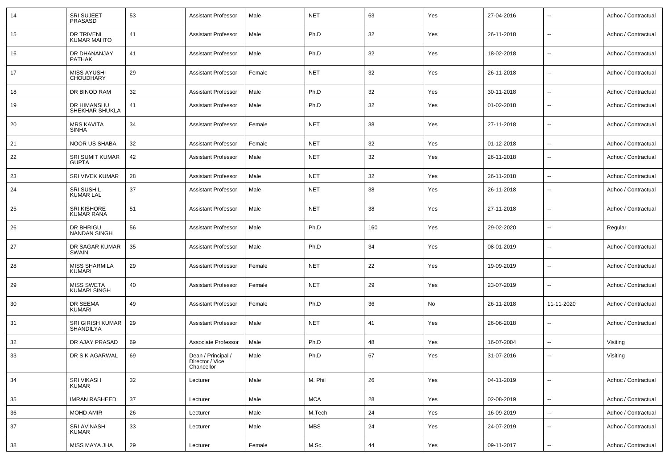| 14 | <b>SRI SUJEET</b><br>PRASASD            | 53 | <b>Assistant Professor</b>                          | Male   | <b>NET</b> | 63  | Yes | 27-04-2016 | $\overline{\phantom{a}}$ | Adhoc / Contractual |
|----|-----------------------------------------|----|-----------------------------------------------------|--------|------------|-----|-----|------------|--------------------------|---------------------|
| 15 | DR TRIVENI<br><b>KUMAR MAHTO</b>        | 41 | <b>Assistant Professor</b>                          | Male   | Ph.D       | 32  | Yes | 26-11-2018 | $\overline{\phantom{a}}$ | Adhoc / Contractual |
| 16 | DR DHANANJAY<br><b>PATHAK</b>           | 41 | <b>Assistant Professor</b>                          | Male   | Ph.D       | 32  | Yes | 18-02-2018 | $\sim$                   | Adhoc / Contractual |
| 17 | <b>MISS AYUSHI</b><br><b>CHOUDHARY</b>  | 29 | <b>Assistant Professor</b>                          | Female | <b>NET</b> | 32  | Yes | 26-11-2018 | $\overline{\phantom{a}}$ | Adhoc / Contractual |
| 18 | DR BINOD RAM                            | 32 | <b>Assistant Professor</b>                          | Male   | Ph.D       | 32  | Yes | 30-11-2018 | $\overline{a}$           | Adhoc / Contractual |
| 19 | DR HIMANSHU<br>SHEKHAR SHUKLA           | 41 | <b>Assistant Professor</b>                          | Male   | Ph.D       | 32  | Yes | 01-02-2018 | --                       | Adhoc / Contractual |
| 20 | <b>MRS KAVITA</b><br><b>SINHA</b>       | 34 | <b>Assistant Professor</b>                          | Female | <b>NET</b> | 38  | Yes | 27-11-2018 | --                       | Adhoc / Contractual |
| 21 | <b>NOOR US SHABA</b>                    | 32 | <b>Assistant Professor</b>                          | Female | <b>NET</b> | 32  | Yes | 01-12-2018 | ٠.                       | Adhoc / Contractual |
| 22 | <b>SRI SUMIT KUMAR</b><br><b>GUPTA</b>  | 42 | <b>Assistant Professor</b>                          | Male   | <b>NET</b> | 32  | Yes | 26-11-2018 | $\overline{\phantom{a}}$ | Adhoc / Contractual |
| 23 | <b>SRI VIVEK KUMAR</b>                  | 28 | <b>Assistant Professor</b>                          | Male   | <b>NET</b> | 32  | Yes | 26-11-2018 | --                       | Adhoc / Contractual |
| 24 | <b>SRI SUSHIL</b><br><b>KUMAR LAL</b>   | 37 | <b>Assistant Professor</b>                          | Male   | <b>NET</b> | 38  | Yes | 26-11-2018 | --                       | Adhoc / Contractual |
| 25 | <b>SRI KISHORE</b><br><b>KUMAR RANA</b> | 51 | <b>Assistant Professor</b>                          | Male   | <b>NET</b> | 38  | Yes | 27-11-2018 | --                       | Adhoc / Contractual |
| 26 | DR BHRIGU<br><b>NANDAN SINGH</b>        | 56 | <b>Assistant Professor</b>                          | Male   | Ph.D       | 160 | Yes | 29-02-2020 | --                       | Regular             |
| 27 | DR SAGAR KUMAR<br>SWAIN                 | 35 | <b>Assistant Professor</b>                          | Male   | Ph.D       | 34  | Yes | 08-01-2019 | $\overline{a}$           | Adhoc / Contractual |
| 28 | <b>MISS SHARMILA</b><br>KUMARI          | 29 | <b>Assistant Professor</b>                          | Female | <b>NET</b> | 22  | Yes | 19-09-2019 | --                       | Adhoc / Contractual |
| 29 | <b>MISS SWETA</b><br>KUMARI SINGH       | 40 | <b>Assistant Professor</b>                          | Female | <b>NET</b> | 29  | Yes | 23-07-2019 | ٠.                       | Adhoc / Contractual |
| 30 | DR SEEMA<br>KUMARI                      | 49 | <b>Assistant Professor</b>                          | Female | Ph.D       | 36  | No  | 26-11-2018 | 11-11-2020               | Adhoc / Contractual |
| 31 | SRI GIRISH KUMAR<br><b>SHANDILYA</b>    | 29 | <b>Assistant Professor</b>                          | Male   | <b>NET</b> | 41  | Yes | 26-06-2018 | ٠.                       | Adhoc / Contractual |
| 32 | DR AJAY PRASAD                          | 69 | Associate Professor                                 | Male   | Ph.D       | 48  | Yes | 16-07-2004 | ۰.                       | Visiting            |
| 33 | DR S K AGARWAL                          | 69 | Dean / Principal /<br>Director / Vice<br>Chancellor | Male   | Ph.D       | 67  | Yes | 31-07-2016 | $\sim$                   | Visiting            |
| 34 | <b>SRI VIKASH</b><br><b>KUMAR</b>       | 32 | Lecturer                                            | Male   | M. Phil    | 26  | Yes | 04-11-2019 | Ξ.                       | Adhoc / Contractual |
| 35 | <b>IMRAN RASHEED</b>                    | 37 | Lecturer                                            | Male   | <b>MCA</b> | 28  | Yes | 02-08-2019 | $\overline{\phantom{a}}$ | Adhoc / Contractual |
| 36 | <b>MOHD AMIR</b>                        | 26 | Lecturer                                            | Male   | M.Tech     | 24  | Yes | 16-09-2019 | --                       | Adhoc / Contractual |
| 37 | SRI AVINASH<br>KUMAR                    | 33 | Lecturer                                            | Male   | <b>MBS</b> | 24  | Yes | 24-07-2019 | $\overline{\phantom{a}}$ | Adhoc / Contractual |
| 38 | MISS MAYA JHA                           | 29 | Lecturer                                            | Female | M.Sc.      | 44  | Yes | 09-11-2017 | Ξ.                       | Adhoc / Contractual |